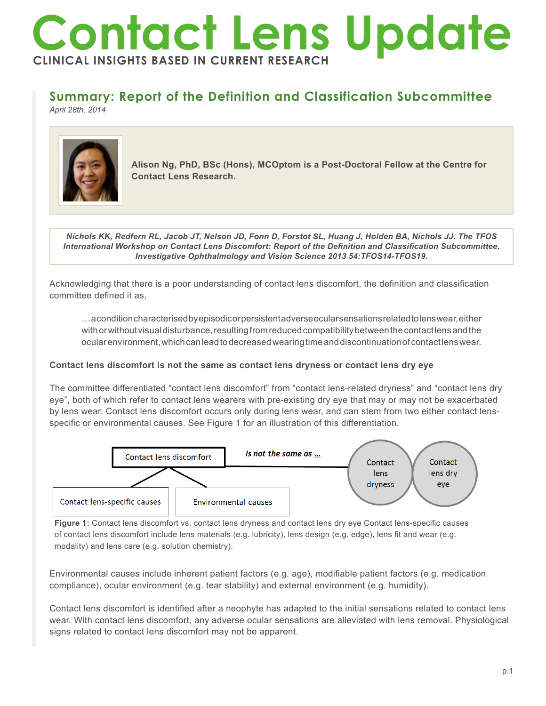## **Contact Lens Update CLINICAL INSIGHTS BASED IN CURRENT RESEARCH**

## **Summary: Report of the Definition and Classification Subcommittee**

*April 28th, 2014*



**Alison Ng, PhD, BSc (Hons), MCOptom is a Post-Doctoral Fellow at the Centre for Contact Lens Research.**

*Nichols KK, Redfern RL, Jacob JT, Nelson JD, Fonn D, Forstot SL, Huang J, Holden BA, Nichols JJ. The TFOS International Workshop on Contact Lens Discomfort: Report of the Definition and Classification Subcommittee. Investigative Ophthalmology and Vision Science 2013 54:TFOS14-TFOS19.*

Acknowledging that there is a poor understanding of contact lens discomfort, the definition and classification committee defined it as,

… a condition characterised by episodic or persistent adverse ocular sensations related to lens wear, either with or without visual disturbance, resulting from reduced compatibility between the contact lens and the ocular environment, which can lead to decreased wearing time and discontinuation of contact lens wear.

## **Contact lens discomfort is not the same as contact lens dryness or contact lens dry eye**

The committee differentiated "contact lens discomfort" from "contact lens-related dryness" and "contact lens dry eye", both of which refer to contact lens wearers with pre-existing dry eye that may or may not be exacerbated by lens wear. Contact lens discomfort occurs only during lens wear, and can stem from two either contact lensspecific or environmental causes. See Figure 1 for an illustration of this differentiation.



**Figure 1:** Contact lens discomfort vs. contact lens dryness and contact lens dry eye Contact lens-specific causes of contact lens discomfort include lens materials (e.g. lubricity), lens design (e.g. edge), lens fit and wear (e.g. modality) and lens care (e.g. solution chemistry).

Environmental causes include inherent patient factors (e.g. age), modifiable patient factors (e.g. medication compliance), ocular environment (e.g. tear stability) and external environment (e.g. humidity).

Contact lens discomfort is identified after a neophyte has adapted to the initial sensations related to contact lens wear. With contact lens discomfort, any adverse ocular sensations are alleviated with lens removal. Physiological signs related to contact lens discomfort may not be apparent.